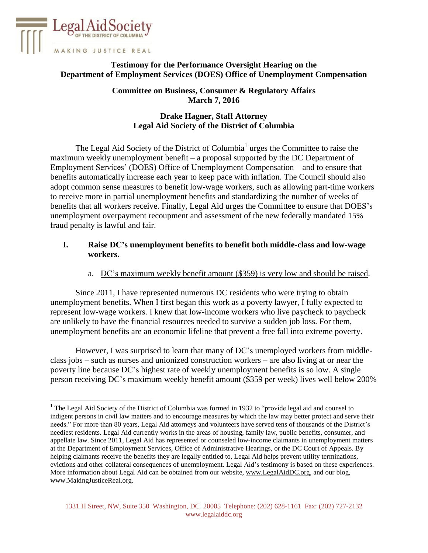

 $\overline{a}$ 

# **Testimony for the Performance Oversight Hearing on the Department of Employment Services (DOES) Office of Unemployment Compensation**

**Committee on Business, Consumer & Regulatory Affairs March 7, 2016**

## **Drake Hagner, Staff Attorney Legal Aid Society of the District of Columbia**

The Legal Aid Society of the District of Columbia $1$  urges the Committee to raise the maximum weekly unemployment benefit – a proposal supported by the DC Department of Employment Services' (DOES) Office of Unemployment Compensation – and to ensure that benefits automatically increase each year to keep pace with inflation. The Council should also adopt common sense measures to benefit low-wage workers, such as allowing part-time workers to receive more in partial unemployment benefits and standardizing the number of weeks of benefits that all workers receive. Finally, Legal Aid urges the Committee to ensure that DOES's unemployment overpayment recoupment and assessment of the new federally mandated 15% fraud penalty is lawful and fair.

### **I. Raise DC's unemployment benefits to benefit both middle-class and low-wage workers.**

a. DC's maximum weekly benefit amount (\$359) is very low and should be raised.

Since 2011, I have represented numerous DC residents who were trying to obtain unemployment benefits. When I first began this work as a poverty lawyer, I fully expected to represent low-wage workers. I knew that low-income workers who live paycheck to paycheck are unlikely to have the financial resources needed to survive a sudden job loss. For them, unemployment benefits are an economic lifeline that prevent a free fall into extreme poverty.

However, I was surprised to learn that many of DC's unemployed workers from middleclass jobs – such as nurses and unionized construction workers – are also living at or near the poverty line because DC's highest rate of weekly unemployment benefits is so low. A single person receiving DC's maximum weekly benefit amount (\$359 per week) lives well below 200%

<sup>&</sup>lt;sup>1</sup> The Legal Aid Society of the District of Columbia was formed in 1932 to "provide legal aid and counsel to indigent persons in civil law matters and to encourage measures by which the law may better protect and serve their needs." For more than 80 years, Legal Aid attorneys and volunteers have served tens of thousands of the District's neediest residents. Legal Aid currently works in the areas of housing, family law, public benefits, consumer, and appellate law. Since 2011, Legal Aid has represented or counseled low-income claimants in unemployment matters at the Department of Employment Services, Office of Administrative Hearings, or the DC Court of Appeals. By helping claimants receive the benefits they are legally entitled to, Legal Aid helps prevent utility terminations, evictions and other collateral consequences of unemployment. Legal Aid's testimony is based on these experiences. More information about Legal Aid can be obtained from our website, www.LegalAidDC.org, and our blog, [www.MakingJusticeReal.org.](http://www.makingjusticereal.org/)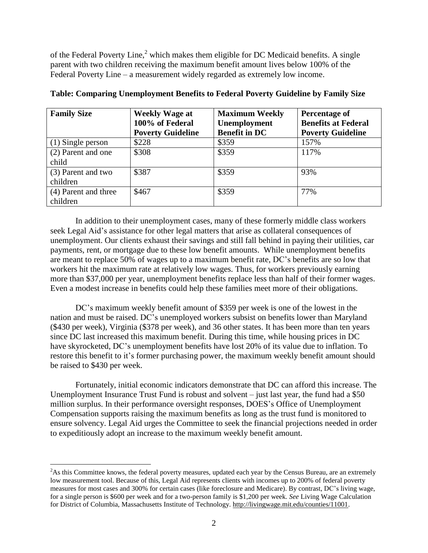of the Federal Poverty Line, $<sup>2</sup>$  which makes them eligible for DC Medicaid benefits. A single</sup> parent with two children receiving the maximum benefit amount lives below 100% of the Federal Poverty Line – a measurement widely regarded as extremely low income.

| <b>Family Size</b>               | <b>Weekly Wage at</b><br>100% of Federal<br><b>Poverty Guideline</b> | <b>Maximum Weekly</b><br>Unemployment<br><b>Benefit in DC</b> | Percentage of<br><b>Benefits at Federal</b><br><b>Poverty Guideline</b> |
|----------------------------------|----------------------------------------------------------------------|---------------------------------------------------------------|-------------------------------------------------------------------------|
| $(1)$ Single person              | \$228                                                                | \$359                                                         | 157%                                                                    |
| (2) Parent and one<br>child      | \$308                                                                | \$359                                                         | 117%                                                                    |
| (3) Parent and two<br>children   | \$387                                                                | \$359                                                         | 93%                                                                     |
| (4) Parent and three<br>children | \$467                                                                | \$359                                                         | 77%                                                                     |

| Table: Comparing Unemployment Benefits to Federal Poverty Guideline by Family Size |  |  |  |  |
|------------------------------------------------------------------------------------|--|--|--|--|
|                                                                                    |  |  |  |  |
|                                                                                    |  |  |  |  |

In addition to their unemployment cases, many of these formerly middle class workers seek Legal Aid's assistance for other legal matters that arise as collateral consequences of unemployment. Our clients exhaust their savings and still fall behind in paying their utilities, car payments, rent, or mortgage due to these low benefit amounts. While unemployment benefits are meant to replace 50% of wages up to a maximum benefit rate, DC's benefits are so low that workers hit the maximum rate at relatively low wages. Thus, for workers previously earning more than \$37,000 per year, unemployment benefits replace less than half of their former wages. Even a modest increase in benefits could help these families meet more of their obligations.

DC's maximum weekly benefit amount of \$359 per week is one of the lowest in the nation and must be raised. DC's unemployed workers subsist on benefits lower than Maryland (\$430 per week), Virginia (\$378 per week), and 36 other states. It has been more than ten years since DC last increased this maximum benefit. During this time, while housing prices in DC have skyrocketed, DC's unemployment benefits have lost 20% of its value due to inflation. To restore this benefit to it's former purchasing power, the maximum weekly benefit amount should be raised to \$430 per week.

Fortunately, initial economic indicators demonstrate that DC can afford this increase. The Unemployment Insurance Trust Fund is robust and solvent – just last year, the fund had a \$50 million surplus. In their performance oversight responses, DOES's Office of Unemployment Compensation supports raising the maximum benefits as long as the trust fund is monitored to ensure solvency. Legal Aid urges the Committee to seek the financial projections needed in order to expeditiously adopt an increase to the maximum weekly benefit amount.

 $\overline{a}$ 

<sup>&</sup>lt;sup>2</sup>As this Committee knows, the federal poverty measures, updated each year by the Census Bureau, are an extremely low measurement tool. Because of this, Legal Aid represents clients with incomes up to 200% of federal poverty measures for most cases and 300% for certain cases (like foreclosure and Medicare). By contrast, DC's living wage, for a single person is \$600 per week and for a two-person family is \$1,200 per week. *See* Living Wage Calculation for District of Columbia, Massachusetts Institute of Technology. [http://livingwage.mit.edu/counties/11001.](http://livingwage.mit.edu/counties/11001)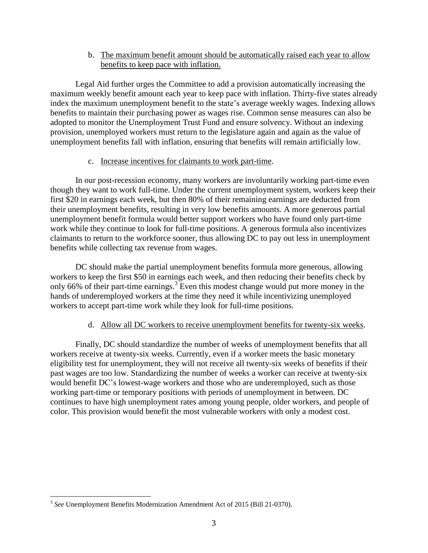b. The maximum benefit amount should be automatically raised each year to allow benefits to keep pace with inflation.

Legal Aid further urges the Committee to add a provision automatically increasing the maximum weekly benefit amount each year to keep pace with inflation. Thirty-five states already index the maximum unemployment benefit to the state's average weekly wages. Indexing allows benefits to maintain their purchasing power as wages rise. Common sense measures can also be adopted to monitor the Unemployment Trust Fund and ensure solvency. Without an indexing provision, unemployed workers must return to the legislature again and again as the value of unemployment benefits fall with inflation, ensuring that benefits will remain artificially low.

### c. Increase incentives for claimants to work part-time.

In our post-recession economy, many workers are involuntarily working part-time even though they want to work full-time. Under the current unemployment system, workers keep their first \$20 in earnings each week, but then 80% of their remaining earnings are deducted from their unemployment benefits, resulting in very low benefits amounts. A more generous partial unemployment benefit formula would better support workers who have found only part-time work while they continue to look for full-time positions. A generous formula also incentivizes claimants to return to the workforce sooner, thus allowing DC to pay out less in unemployment benefits while collecting tax revenue from wages.

DC should make the partial unemployment benefits formula more generous, allowing workers to keep the first \$50 in earnings each week, and then reducing their benefits check by only 66% of their part-time earnings.<sup>3</sup> Even this modest change would put more money in the hands of underemployed workers at the time they need it while incentivizing unemployed workers to accept part-time work while they look for full-time positions.

### d. Allow all DC workers to receive unemployment benefits for twenty-six weeks.

Finally, DC should standardize the number of weeks of unemployment benefits that all workers receive at twenty-six weeks. Currently, even if a worker meets the basic monetary eligibility test for unemployment, they will not receive all twenty-six weeks of benefits if their past wages are too low. Standardizing the number of weeks a worker can receive at twenty-six would benefit DC's lowest-wage workers and those who are underemployed, such as those working part-time or temporary positions with periods of unemployment in between. DC continues to have high unemployment rates among young people, older workers, and people of color. This provision would benefit the most vulnerable workers with only a modest cost.

<sup>&</sup>lt;sup>3</sup> See Unemployment Benefits Modernization Amendment Act of 2015 (Bill 21-0370).